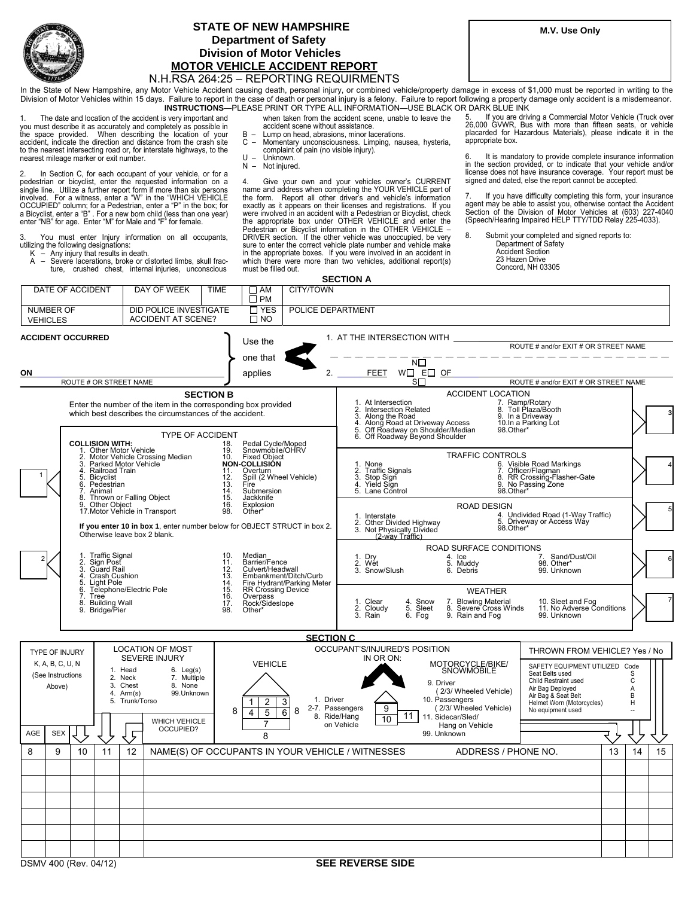

## **STATE OF NEW HAMPSHIRE Department of Safety Division of Motor Vehicles MOTOR VEHICLE ACCIDENT REPORT**

## N.H.RSA 264:25 – REPORTING REQUIRMENTS

In the State of New Hampshire, any Motor Vehicle Accident causing death, personal injury, or combined vehicle/property damage in excess of \$1,000 must be reported in writing to the Division of Motor Vehicles within 15 days. Failure to report in the case of death or personal injury is a felony. Failure to report following a property damage only accident is a misdemeanor. **INSTRUCTIONS**—PLEASE PRINT OR TYPE ALL INFORMATION—USE BLACK OR DARK BLUE INK

1 y t accident, indicate the direction and distance from the crash site to the nearest intersecting road or, for interstate highways, to the nearest mileage marker or exit number. 1. The date and location of the accident is very important and you must describe it as accurately and completely as possible in the space provided. When describing the location of your

2 pedestrian or bicyclist, enter the requested information on a single line. Utilize a further report form if more than six persons involved. For a witness, enter a "W" in the "WHICH VEHICLE In Section C, for each occupant of your vehicle, or for a OCCUPIED" column; for a Pedestrian, enter a "P" in the box; for<br>a Bicyclist, enter a "B" . For a new born child (less than one year)<br>enter "NB" for age. Enter "M" for Male and "F" for female.

3. You must enter Injury information on all occupants, utilizing the following designations: K – Any injury that results in death.

 $\Gamma$ 

DATE OF ACCIDENT **I** DAY OF WEEK TIME A – Severe lacerations, broke or distorted limbs, skull frac-ture, crushed chest, internal injuries, unconscious

when taken from the accident scene, unable to leave the accident scene without assistance.

- B Lump on head, abrasions, minor lacerations.<br>C Momentary unconsciousness. Limping, nau
- C Momentary unconsciousness. Limping, nausea, hysteria, complaint of pain (no visible injury).
- U Unknown.<br>N Not iniurer

CITY/TOWN

Not injured.

4. Give your own and your vehicles owner's CURRENT name and address when completing the YOUR VEHICLE part of<br>the form. Report all other driver's and vehicle's information<br>exactly as it appears on their licenses and registrations. If you were involved in an accident with a Pedestrian or Bicyclist, check<br>the appropriate box under OTHER VEHICLE and enter the<br>Pedestrian or Bicyclist information in the OTHER VEHICLE – DRIVER section. If the other vehicle was unoccupied, be very sure to enter the correct vehicle plate number and vehicle make in the appropriate boxes. If you were involved in an accident in which there were more than two vehicles, additional report(s) must be filled out.

**SECTION A** 

5. If you are driving a Commercial Motor Vehicle (Truck over 26,000 GVWR, Bus with more than fifteen seats, or vehicle placarded for Hazardous Materials), please indicate it in the appropriate box.

6. It is mandatory to provide complete insurance information<br>in the section provided, or to indicate that your vehicle and/or<br>license does not have insurance coverage. Your report must be signed and dated, else the report cannot be accepted.

7. If you have difficulty completing this form, your insurance agent may be able to assist you, otherwise contact the Accident<br>Section of the Division of Motor Vehicles at (603) 227-4040<br>(Speech/Hearing Impaired HELP TTY/TDD Relay 225-4033).

8. Submit your completed and signed reports to: Department of Safety Accident Section 23 Hazen Drive Concord, NH 03305

| DAIL VI AVVIDLIII                                                                          | VVLLIN<br><u>IIVIL</u>                                                                                                                                                                                  | – ∧™<br>$\square$ PM                                                                                                                                                                                                       | ULLI LI UVVIN                                                                                                                                                                                                                                                                                                                                                                                                                                                                                                                                                  |    |
|--------------------------------------------------------------------------------------------|---------------------------------------------------------------------------------------------------------------------------------------------------------------------------------------------------------|----------------------------------------------------------------------------------------------------------------------------------------------------------------------------------------------------------------------------|----------------------------------------------------------------------------------------------------------------------------------------------------------------------------------------------------------------------------------------------------------------------------------------------------------------------------------------------------------------------------------------------------------------------------------------------------------------------------------------------------------------------------------------------------------------|----|
| NUMBER OF<br><b>VEHICLES</b>                                                               | DID POLICE INVESTIGATE<br><b>ACCIDENT AT SCENE?</b>                                                                                                                                                     | $\Box$ YES<br>$\Box$ NO                                                                                                                                                                                                    | POLICE DEPARTMENT                                                                                                                                                                                                                                                                                                                                                                                                                                                                                                                                              |    |
| <b>ACCIDENT OCCURRED</b>                                                                   |                                                                                                                                                                                                         | Use the<br>one that                                                                                                                                                                                                        | 1. AT THE INTERSECTION WITH<br>ROUTE # and/or EXIT # OR STREET NAME<br>$N\square$                                                                                                                                                                                                                                                                                                                                                                                                                                                                              |    |
| ON                                                                                         |                                                                                                                                                                                                         | applies                                                                                                                                                                                                                    | 2.<br><b>FEET</b><br>$W \square$ E $\square$ OF                                                                                                                                                                                                                                                                                                                                                                                                                                                                                                                |    |
| ROUTE # OR STREET NAME                                                                     |                                                                                                                                                                                                         |                                                                                                                                                                                                                            | S□<br>ROUTE # and/or EXIT # OR STREET NAME                                                                                                                                                                                                                                                                                                                                                                                                                                                                                                                     |    |
| <b>COLLISION WITH:</b>                                                                     | <b>SECTION B</b><br>Enter the number of the item in the corresponding box provided<br>which best describes the circumstances of the accident.<br><b>TYPE OF ACCIDENT</b>                                |                                                                                                                                                                                                                            | <b>ACCIDENT LOCATION</b><br>7. Ramp/Rotary<br>8. Toll Plaza/Booth<br>9. In a Driveway<br>1. At Intersection<br>2. Intersection Related<br>2. Intersection<br>1980 - Along the Road<br>1980 - Along Road at Driveway Access<br>1980 - Soft Roadway on Shoulder/Median<br>1980 - Off Roadway Beyond Shoulder<br>10.In a Parking Lot<br>98.Other*                                                                                                                                                                                                                 |    |
| 1. Other Motor Vehicle<br>3.<br>4.<br>5. Bicyclist<br>6. Pedestrian<br>Animal<br>7.<br>8.  | Motor Vehicle Crossing Median<br>Parked Motor Vehicle<br>Railroad Train<br>Thrown or Falling Object                                                                                                     | 18.<br>Pedal Cycle/Moped<br>Snowmobile/OHRV<br>19.<br><b>Fixed Object</b><br>10.<br><b>NON-COLLISION</b><br>Overturn<br>11.<br>Spill (2 Wheel Vehicle)<br>12.<br>13.<br>Fíre<br>$\frac{14}{15}$<br>Submersion<br>Jackknife | <b>TRAFFIC CONTROLS</b><br>6. Visible Road Markings<br>7. Officer/Flagman<br>1. None<br>2. Traffic Signals<br>3. Stop Sign<br>4. Yield Sign<br>8. RR Crossing-Flasher-Gate<br>9. No Passing Zone<br>5. Lane Control<br>98.Other*                                                                                                                                                                                                                                                                                                                               |    |
|                                                                                            | 9. Other Object<br>17. Motor Vehicle in Transport<br>If you enter 10 in box 1, enter number below for OBJECT STRUCT in box 2.<br>Otherwise leave box 2 blank.                                           | 16.<br>Explosion<br>98.<br>Other*                                                                                                                                                                                          | <b>ROAD DESIGN</b><br>4. Undivided Road (1-Way Traffic)<br>1. Interstate<br>2. Other Divided Highway<br>3. Not Physically Divided<br>(2-way Traffic)<br>5. Driveway or Access Wáy<br>98.Other*                                                                                                                                                                                                                                                                                                                                                                 |    |
| 1. Traffic Signal<br>2. Sign Post<br>3. Guard Rail<br>4. Crash Cushion<br>5.<br>Light Pole |                                                                                                                                                                                                         | 10.<br>Median<br>Barrier/Fence<br>Culvert/Headwall<br>11.<br>12.<br>$\frac{15}{14}$<br>14.<br>15.<br>Embankment/Ditch/Curb<br>Fire Hydrant/Parking Meter<br>RR Crossing Device                                             | ROAD SURFACE CONDITIONS<br>1. Dry<br>4. Ice<br>7. Sand/Dust/Oil<br>98. Other*<br>5. Muddy<br>2. Wét<br>3. Snow/Slush<br>6. Debris<br>99. Unknown                                                                                                                                                                                                                                                                                                                                                                                                               |    |
| $\overline{6}$<br>7. Tree<br>8. Building Wall<br>9. Bridge/Pier                            | Telephone/Electric Pole                                                                                                                                                                                 | $\frac{16}{17}$<br>Overpass<br>Rock/Sideslope<br>98.<br>Other*                                                                                                                                                             | <b>WEATHER</b><br>1. Clear<br>4. Snow<br>5. Sleet<br>7. Blowing Material<br>8. Severe Cross Winds<br>9. Rain and Fog<br>10. Sleet and Fog<br>11. No Adverse Conditions<br>2. Cloudy<br>3. Rain<br>6. Fog<br>99. Unknown                                                                                                                                                                                                                                                                                                                                        |    |
|                                                                                            |                                                                                                                                                                                                         |                                                                                                                                                                                                                            | <b>SECTION C</b>                                                                                                                                                                                                                                                                                                                                                                                                                                                                                                                                               |    |
| TYPE OF INJURY<br>K, A, B, C, U, N<br>(See Instructions<br>Above)<br>AGE<br><b>SEX</b>     | <b>LOCATION OF MOST</b><br>SEVERE INJURY<br>1. Head<br>$6.$ Leg(s)<br>2. Neck<br>7. Multiple<br>3. Chest<br>8. None<br>99.Unknown<br>4. $Arm(s)$<br>5. Trunk/Torso<br><b>WHICH VEHICLE</b><br>OCCUPIED? | <b>VEHICLE</b><br>$\overline{c}$<br>3<br>8<br>8<br>5<br>6<br>4<br>8                                                                                                                                                        | OCCUPANT'S/INJURED'S POSITION<br>THROWN FROM VEHICLE? Yes / No<br>IN OR ON:<br>MOTORCYCLE/BIKE/<br>SNOWMOBILE<br>SAFETY EQUIPMENT UTILIZED<br>Code<br>Seat Belts used<br>S<br>Child Restraint used<br>C<br>9. Driver<br>Air Bag Deployed<br>Α<br>(2/3/ Wheeled Vehicle)<br>Air Bag & Seat Belt<br>В<br>10. Passengers<br>1. Driver<br>Helmet Worn (Motorcycles)<br>н<br>(2/3/ Wheeled Vehicle)<br>2-7. Passengers<br>9<br>No equipment used<br>$\overline{a}$<br>11<br>8. Ride/Hang<br>11. Sidecar/Sled/<br>10<br>on Vehicle<br>Hang on Vehicle<br>99. Unknown |    |
| 9<br>8<br>10<br>11                                                                         | 12                                                                                                                                                                                                      |                                                                                                                                                                                                                            | NAME(S) OF OCCUPANTS IN YOUR VEHICLE / WITNESSES<br>ADDRESS / PHONE NO.<br>13<br>14                                                                                                                                                                                                                                                                                                                                                                                                                                                                            | 15 |
|                                                                                            |                                                                                                                                                                                                         |                                                                                                                                                                                                                            |                                                                                                                                                                                                                                                                                                                                                                                                                                                                                                                                                                |    |
| DSMV 400 (Rev. 04/12)                                                                      |                                                                                                                                                                                                         |                                                                                                                                                                                                                            | <b>SEE REVERSE SIDE</b>                                                                                                                                                                                                                                                                                                                                                                                                                                                                                                                                        |    |